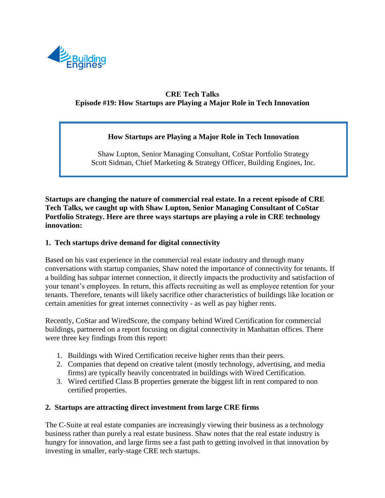

# **CRE Tech Talks Episode #19: How Startups are Playing a Major Role in Tech Innovation**

## **How Startups are Playing a Major Role in Tech Innovation**

Shaw Lupton, Senior Managing Consultant, CoStar Portfolio Strategy Scott Sidman, Chief Marketing & Strategy Officer, Building Engines, Inc.

**Startups are changing the nature of commercial real estate. In a recent episode of CRE Tech Talks, we caught up with Shaw Lupton, Senior Managing Consultant of CoStar Portfolio Strategy. Here are three ways startups are playing a role in CRE technology innovation:**

### **1. Tech startups drive demand for digital connectivity**

Based on his vast experience in the commercial real estate industry and through many conversations with startup companies, Shaw noted the importance of connectivity for tenants. If a building has subpar internet connection, it directly impacts the productivity and satisfaction of your tenant's employees. In return, this affects recruiting as well as employee retention for your tenants. Therefore, tenants will likely sacrifice other characteristics of buildings like location or certain amenities for great internet connectivity - as well as pay higher rents.

Recently, CoStar and WiredScore, the company behind Wired Certification for commercial buildings, partnered on a report focusing on digital connectivity in Manhattan offices. There were three key findings from this report:

- 1. Buildings with Wired Certification receive higher rents than their peers.
- 2. Companies that depend on creative talent (mostly technology, advertising, and media firms) are typically heavily concentrated in buildings with Wired Certification.
- 3. Wired certified Class B properties generate the biggest lift in rent compared to non certified properties.

#### **2. Startups are attracting direct investment from large CRE firms**

The C-Suite at real estate companies are increasingly viewing their business as a technology business rather than purely a real estate business. Shaw notes that the real estate industry is hungry for innovation, and large firms see a fast path to getting involved in that innovation by investing in smaller, early-stage CRE tech startups.